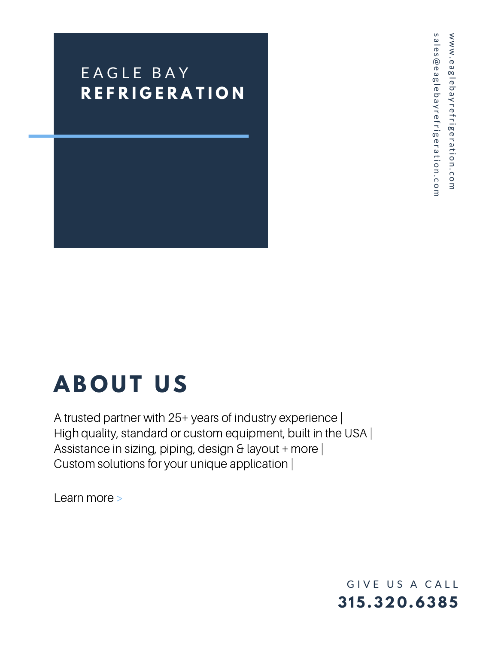### E A G L E B A Y **R E F R I G E R A T I [O](http://eaglebayrefrigeration.com/) N**

## **A B O U T U S**

A trusted partner with 25+ years of industry experience | High quality, standard or custom [equipment,](http://eaglebayrefrigeration.com/) built in the USA | Assistance in sizing, piping, design & layout + more | Custom solutions for your unique application |

Learn more >

**315.320 .6385** GIVE US A CALL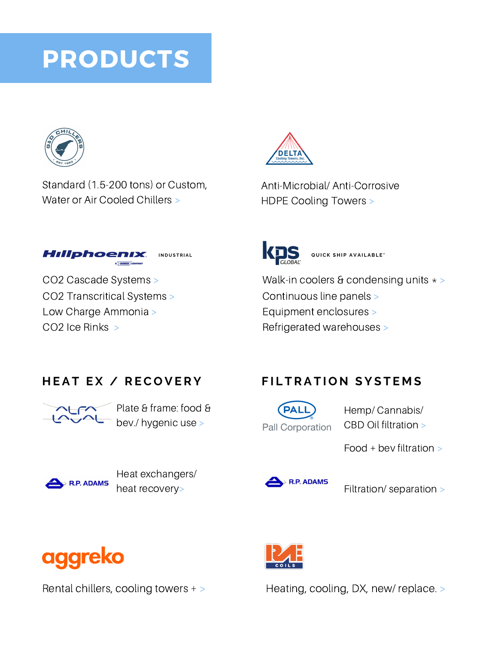### PRODUCTS



Standard [\(1.5-200](http://online.fliphtml5.com/mdiya/mkjg/) tons) or Custom, Water or Air Cooled Chillers >



[Anti-Microbial/](http://online.fliphtml5.com/mdiya/ukbr/) Anti-Corrosive HDPE Cooling Towers >



CO2 Cascade Systems > CO2 [Transcritical](http://online.fliphtml5.com/mdiya/teni/) Systems > Low Charge Ammonia > CO2 Ice Rinks >



[Walk-in](http://online.fliphtml5.com/mdiya/lzby/) coolers & [condensing](http://online.fliphtml5.com/mdiya/ohdf/) units  $\star$  > [Continuous](http://online.fliphtml5.com/mdiya/cdns/) line panels > [Equipment](http://online.fliphtml5.com/mdiya/vfja/) [enclosures](http://online.fliphtml5.com/mdiya/bylg/) > [Refrigerated](http://online.fliphtml5.com/mdiya/zkjj/) warehouses >

#### **H E A T E X / R EC O V E R Y**



Plate & frame: food & bev./ [hygenic](http://online.fliphtml5.com/mdiya/bliw/) use >



Heat [exchangers/](https://online.fliphtml5.com/mdiya/nsqd/) heat recovery>

#### $FILTRATION SYSTEMS$

**PAL Pall Corporation** 

Hemp/ [Cannabis/](http://online.fliphtml5.com/mdiya/frqh/) CBD Oil filtration >

Food + bev [filtration](http://online.fliphtml5.com/mdiya/frqh/) >



[Filtration/](https://online.fliphtml5.com/mdiya/nsqd/) separation >





Rental chillers, cooling towers + > [Heating,](https://www.aggreko.com/en-us/products/cooling-rentals) cooling, DX, new/ replace. >